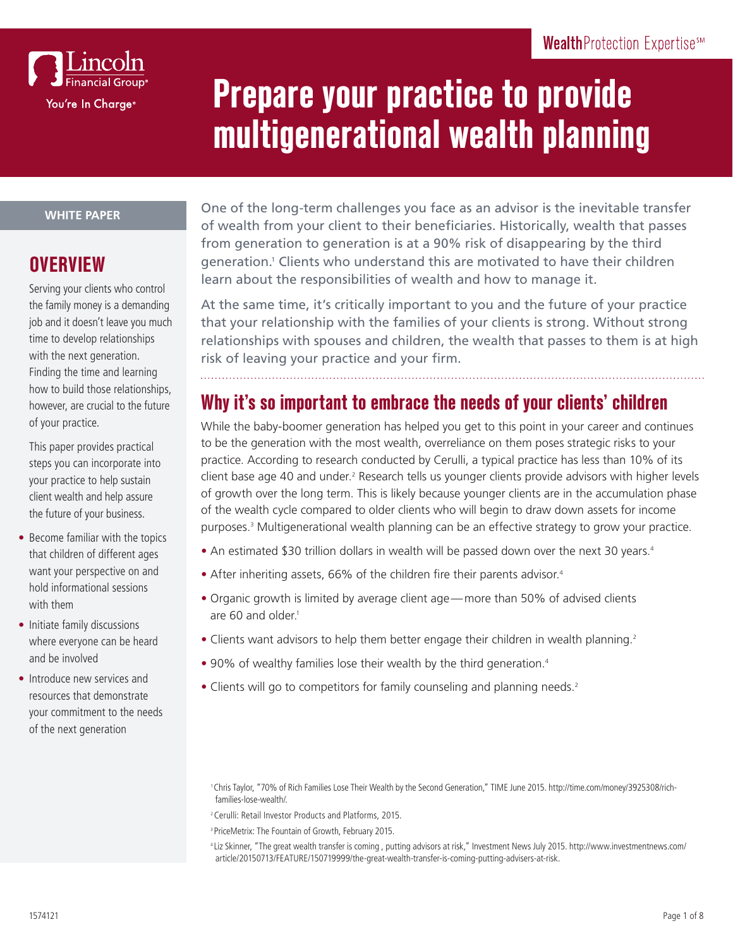

# **Prepare your practice to provide multigenerational wealth planning**

#### **WHITE PAPER**

#### **OVERVIEW**

Serving your clients who control the family money is a demanding job and it doesn't leave you much time to develop relationships with the next generation. Finding the time and learning how to build those relationships, however, are crucial to the future of your practice.

This paper provides practical steps you can incorporate into your practice to help sustain client wealth and help assure the future of your business.

- Become familiar with the topics that children of different ages want your perspective on and hold informational sessions with them
- Initiate family discussions where everyone can be heard and be involved
- Introduce new services and resources that demonstrate your commitment to the needs of the next generation

One of the long-term challenges you face as an advisor is the inevitable transfer of wealth from your client to their beneficiaries. Historically, wealth that passes from generation to generation is at a 90% risk of disappearing by the third generation.<sup>1</sup> Clients who understand this are motivated to have their children learn about the responsibilities of wealth and how to manage it.

At the same time, it's critically important to you and the future of your practice that your relationship with the families of your clients is strong. Without strong relationships with spouses and children, the wealth that passes to them is at high risk of leaving your practice and your firm.

## **Why it's so important to embrace the needs of your clients' children**

While the baby-boomer generation has helped you get to this point in your career and continues to be the generation with the most wealth, overreliance on them poses strategic risks to your practice. According to research conducted by Cerulli, a typical practice has less than 10% of its client base age 40 and under.<sup>2</sup> Research tells us younger clients provide advisors with higher levels of growth over the long term. This is likely because younger clients are in the accumulation phase of the wealth cycle compared to older clients who will begin to draw down assets for income purposes.<sup>3</sup> Multigenerational wealth planning can be an effective strategy to grow your practice.

- An estimated \$30 trillion dollars in wealth will be passed down over the next 30 years.<sup>4</sup>
- After inheriting assets, 66% of the children fire their parents advisor.<sup>4</sup>
- Organic growth is limited by average client age—more than 50% of advised clients are 60 and older.<sup>1</sup>
- Clients want advisors to help them better engage their children in wealth planning.<sup>2</sup>
- 90% of wealthy families lose their wealth by the third generation.<sup>4</sup>
- Clients will go to competitors for family counseling and planning needs.<sup>2</sup>

- <sup>3</sup> PriceMetrix: The Fountain of Growth, February 2015.
- <sup>4</sup> Liz Skinner, "The great wealth transfer is coming , putting advisors at risk," Investment News July 2015. http://www.investmentnews.com/ article/20150713/FEATURE/150719999/the-great-wealth-transfer-is-coming-putting-advisers-at-risk.

<sup>1</sup>Chris Taylor, "70% of Rich Families Lose Their Wealth by the Second Generation," TIME June 2015. http://time.com/money/3925308/richfamilies-lose-wealth/.

<sup>2</sup>Cerulli: Retail Investor Products and Platforms, 2015.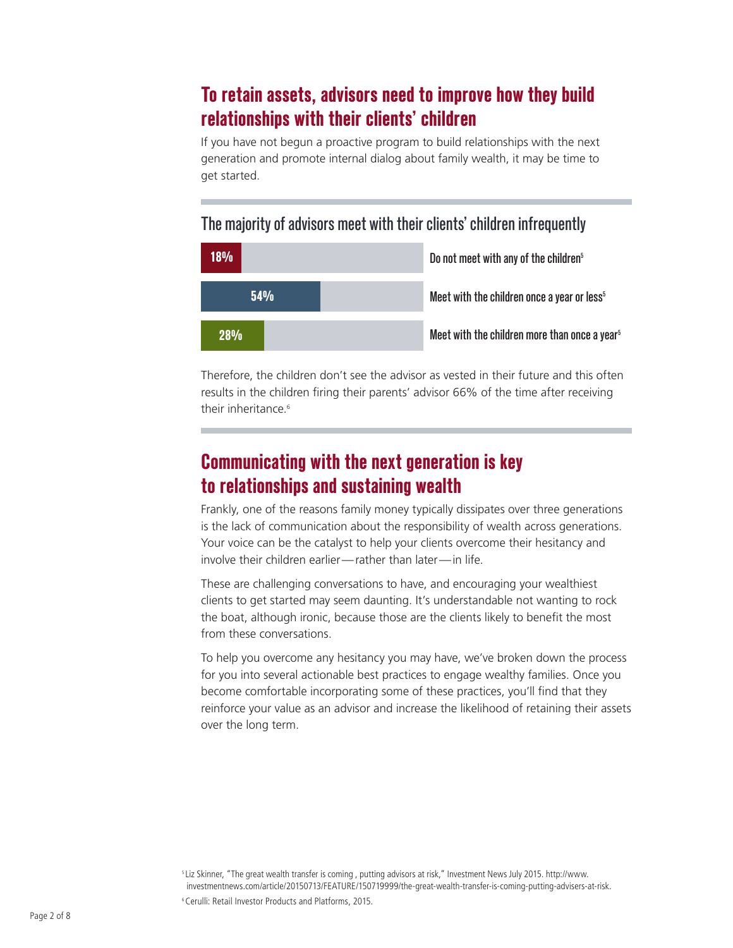### **To retain assets, advisors need to improve how they build relationships with their clients' children**

If you have not begun a proactive program to build relationships with the next generation and promote internal dialog about family wealth, it may be time to get started.

#### The majority of advisors meet with their clients' children infrequently



Therefore, the children don't see the advisor as vested in their future and this often results in the children firing their parents' advisor 66% of the time after receiving their inheritance<sup>6</sup>

## **Communicating with the next generation is key to relationships and sustaining wealth**

Frankly, one of the reasons family money typically dissipates over three generations is the lack of communication about the responsibility of wealth across generations. Your voice can be the catalyst to help your clients overcome their hesitancy and involve their children earlier—rather than later—in life.

These are challenging conversations to have, and encouraging your wealthiest clients to get started may seem daunting. It's understandable not wanting to rock the boat, although ironic, because those are the clients likely to benefit the most from these conversations.

To help you overcome any hesitancy you may have, we've broken down the process for you into several actionable best practices to engage wealthy families. Once you become comfortable incorporating some of these practices, you'll find that they reinforce your value as an advisor and increase the likelihood of retaining their assets over the long term.

<sup>5</sup> Liz Skinner, "The great wealth transfer is coming , putting advisors at risk," Investment News July 2015. http://www. investmentnews.com/article/20150713/FEATURE/150719999/the-great-wealth-transfer-is-coming-putting-advisers-at-risk.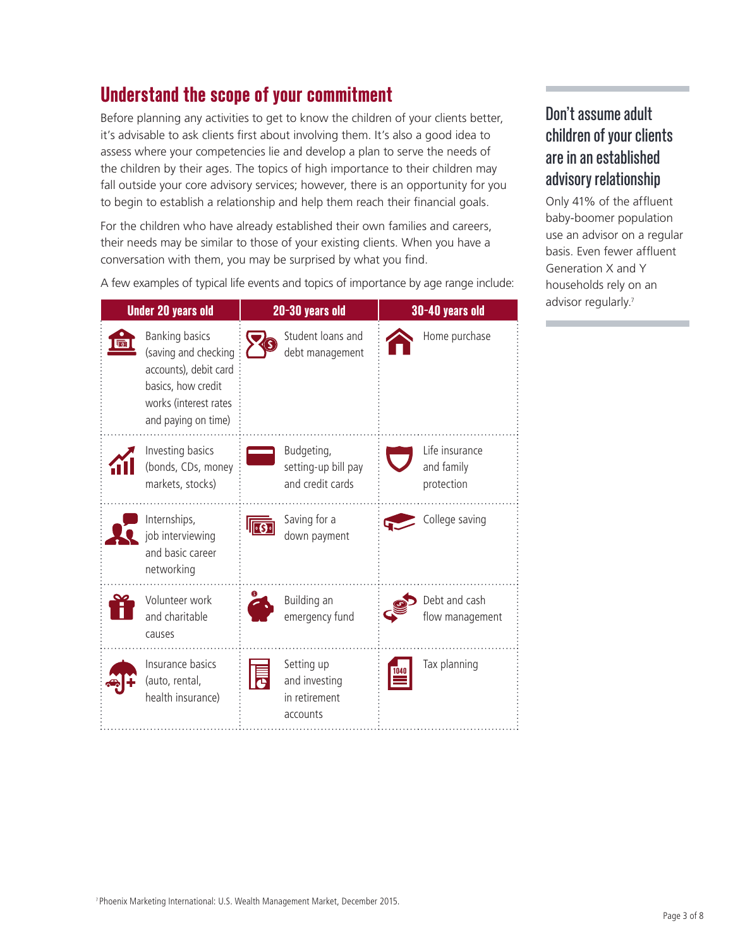# **Understand the scope of your commitment**

Before planning any activities to get to know the children of your clients better, it's advisable to ask clients first about involving them. It's also a good idea to assess where your competencies lie and develop a plan to serve the needs of the children by their ages. The topics of high importance to their children may fall outside your core advisory services; however, there is an opportunity for you to begin to establish a relationship and help them reach their financial goals.

For the children who have already established their own families and careers, their needs may be similar to those of your existing clients. When you have a conversation with them, you may be surprised by what you find.

A few examples of typical life events and topics of importance by age range include:

| <b>Under 20 years old</b> |                                                                                                                                              | 20-30 years old |                                                          | 30-40 years old |                                            |
|---------------------------|----------------------------------------------------------------------------------------------------------------------------------------------|-----------------|----------------------------------------------------------|-----------------|--------------------------------------------|
|                           | <b>Banking basics</b><br>(saving and checking<br>accounts), debit card<br>basics, how credit<br>works (interest rates<br>and paying on time) |                 | Student loans and<br>debt management                     |                 | Home purchase                              |
|                           | Investing basics<br>(bonds, CDs, money<br>markets, stocks)                                                                                   |                 | Budgeting,<br>setting-up bill pay<br>and credit cards    |                 | Life insurance<br>and family<br>protection |
|                           | Internships,<br>job interviewing<br>and basic career<br>networking                                                                           |                 | Saving for a<br>down payment                             |                 | College saving                             |
|                           | Volunteer work<br>and charitable<br>causes                                                                                                   |                 | Building an<br>emergency fund                            |                 | Debt and cash<br>flow management           |
|                           | Insurance basics<br>(auto, rental,<br>health insurance)                                                                                      |                 | Setting up<br>and investing<br>in retirement<br>accounts |                 | Tax planning                               |

#### Don't assume adult children of your clients are in an established advisory relationship

Only 41% of the affluent baby-boomer population use an advisor on a regular basis. Even fewer affluent Generation X and Y households rely on an advisor regularly.<sup>7</sup>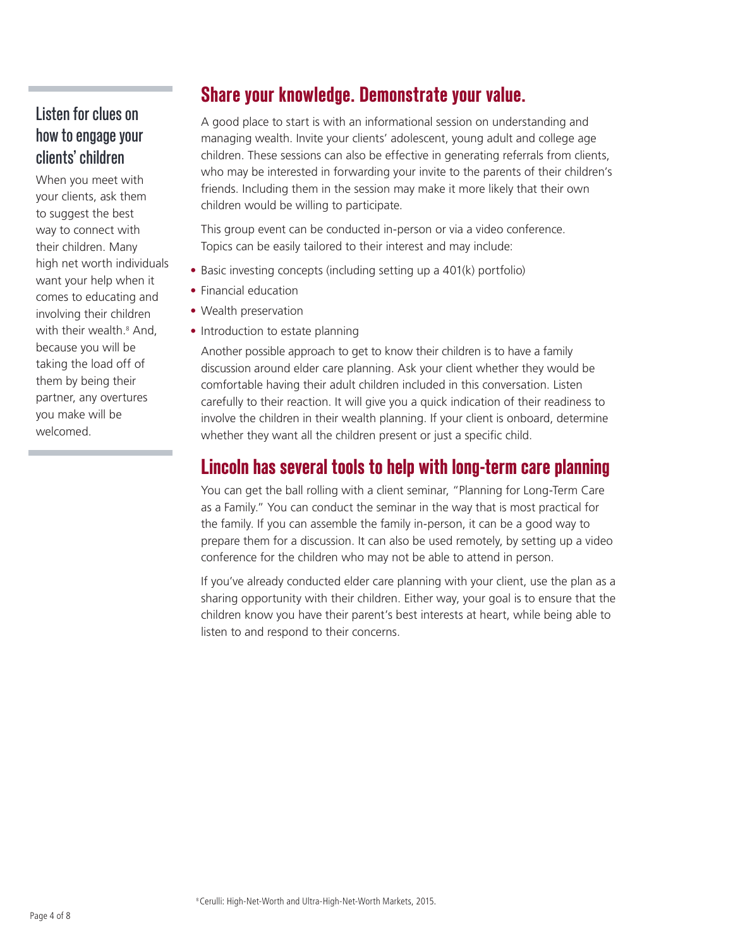#### Listen for clues on how to engage your clients' children

When you meet with your clients, ask them to suggest the best way to connect with their children. Many high net worth individuals want your help when it comes to educating and involving their children with their wealth.<sup>8</sup> And, because you will be taking the load off of them by being their partner, any overtures you make will be welcomed.

### **Share your knowledge. Demonstrate your value.**

A good place to start is with an informational session on understanding and managing wealth. Invite your clients' adolescent, young adult and college age children. These sessions can also be effective in generating referrals from clients, who may be interested in forwarding your invite to the parents of their children's friends. Including them in the session may make it more likely that their own children would be willing to participate.

This group event can be conducted in-person or via a video conference. Topics can be easily tailored to their interest and may include:

- Basic investing concepts (including setting up a 401(k) portfolio)
- Financial education
- Wealth preservation • Introduction to estate planning

Another possible approach to get to know their children is to have a family discussion around elder care planning. Ask your client whether they would be comfortable having their adult children included in this conversation. Listen carefully to their reaction. It will give you a quick indication of their readiness to involve the children in their wealth planning. If your client is onboard, determine whether they want all the children present or just a specific child.

#### **Lincoln has several tools to help with long-term care planning**

You can get the ball rolling with a client seminar, "Planning for Long-Term Care as a Family." You can conduct the seminar in the way that is most practical for the family. If you can assemble the family in-person, it can be a good way to prepare them for a discussion. It can also be used remotely, by setting up a video conference for the children who may not be able to attend in person.

If you've already conducted elder care planning with your client, use the plan as a sharing opportunity with their children. Either way, your goal is to ensure that the children know you have their parent's best interests at heart, while being able to listen to and respond to their concerns.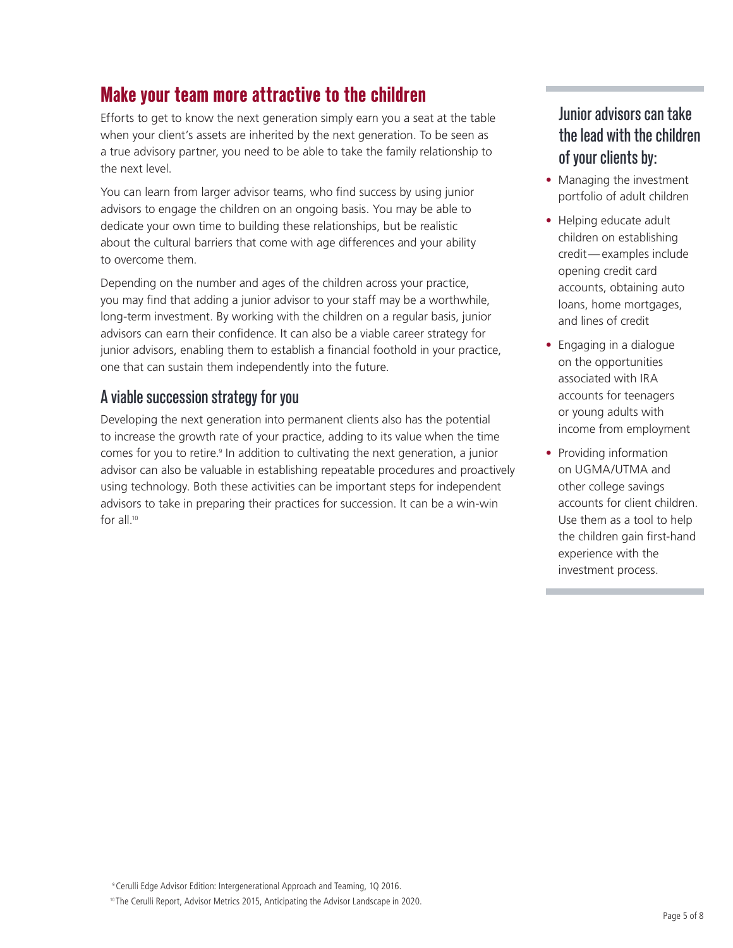# **Make your team more attractive to the children**

Efforts to get to know the next generation simply earn you a seat at the table when your client's assets are inherited by the next generation. To be seen as a true advisory partner, you need to be able to take the family relationship to the next level.

You can learn from larger advisor teams, who find success by using junior advisors to engage the children on an ongoing basis. You may be able to dedicate your own time to building these relationships, but be realistic about the cultural barriers that come with age differences and your ability to overcome them.

Depending on the number and ages of the children across your practice, you may find that adding a junior advisor to your staff may be a worthwhile, long-term investment. By working with the children on a regular basis, junior advisors can earn their confidence. It can also be a viable career strategy for junior advisors, enabling them to establish a financial foothold in your practice, one that can sustain them independently into the future.

#### A viable succession strategy for you

Developing the next generation into permanent clients also has the potential to increase the growth rate of your practice, adding to its value when the time comes for you to retire.<sup>9</sup> In addition to cultivating the next generation, a junior advisor can also be valuable in establishing repeatable procedures and proactively using technology. Both these activities can be important steps for independent advisors to take in preparing their practices for succession. It can be a win-win for all.<sup>10</sup>

#### Junior advisors can take the lead with the children of your clients by:

- Managing the investment portfolio of adult children
- Helping educate adult children on establishing credit—examples include opening credit card accounts, obtaining auto loans, home mortgages, and lines of credit
- Engaging in a dialogue on the opportunities associated with IRA accounts for teenagers or young adults with income from employment
- Providing information on UGMA/UTMA and other college savings accounts for client children. Use them as a tool to help the children gain first-hand experience with the investment process.

9 Cerulli Edge Advisor Edition: Intergenerational Approach and Teaming, 1Q 2016.

<sup>10</sup> The Cerulli Report, Advisor Metrics 2015, Anticipating the Advisor Landscape in 2020.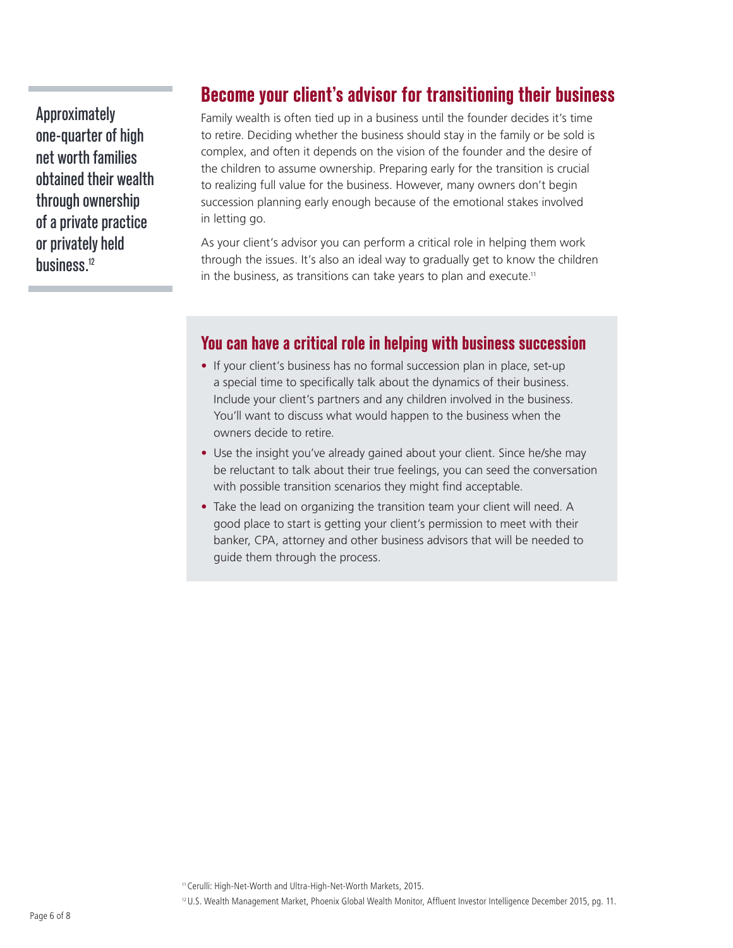Approximately one-quarter of high net worth families obtained their wealth through ownership of a private practice or privately held husiness<sup>12</sup>

#### **Become your client's advisor for transitioning their business**

Family wealth is often tied up in a business until the founder decides it's time to retire. Deciding whether the business should stay in the family or be sold is complex, and often it depends on the vision of the founder and the desire of the children to assume ownership. Preparing early for the transition is crucial to realizing full value for the business. However, many owners don't begin succession planning early enough because of the emotional stakes involved in letting go.

As your client's advisor you can perform a critical role in helping them work through the issues. It's also an ideal way to gradually get to know the children in the business, as transitions can take years to plan and execute.<sup>11</sup>

#### **You can have a critical role in helping with business succession**

- If your client's business has no formal succession plan in place, set-up a special time to specifically talk about the dynamics of their business. Include your client's partners and any children involved in the business. You'll want to discuss what would happen to the business when the owners decide to retire.
- Use the insight you've already gained about your client. Since he/she may be reluctant to talk about their true feelings, you can seed the conversation with possible transition scenarios they might find acceptable.
- Take the lead on organizing the transition team your client will need. A good place to start is getting your client's permission to meet with their banker, CPA, attorney and other business advisors that will be needed to guide them through the process.

11Cerulli: High-Net-Worth and Ultra-High-Net-Worth Markets, 2015.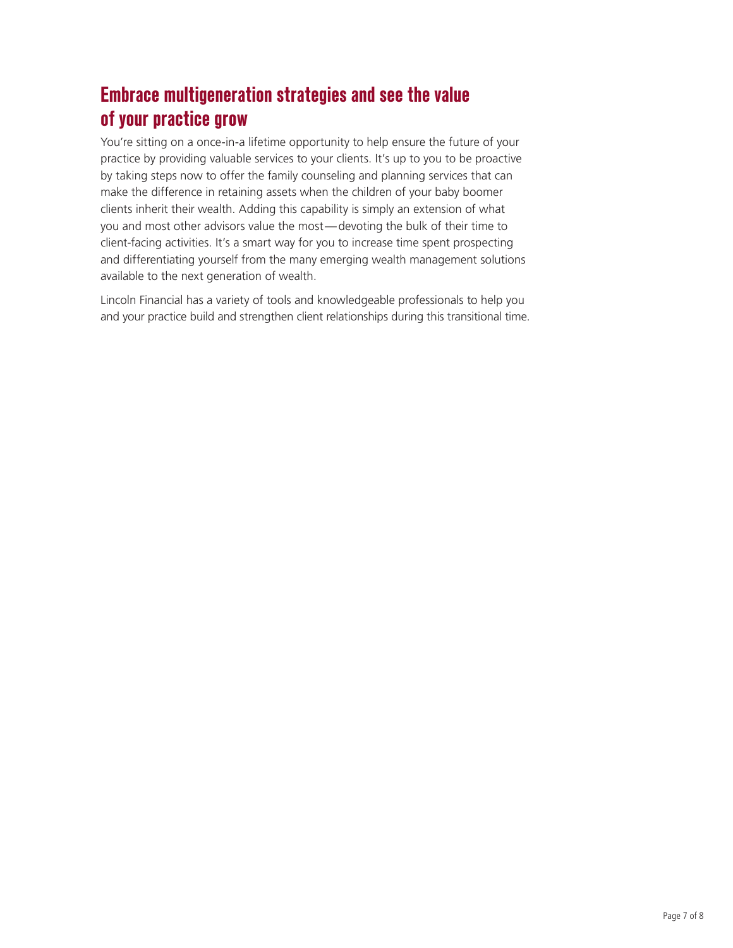# **Embrace multigeneration strategies and see the value of your practice grow**

You're sitting on a once-in-a lifetime opportunity to help ensure the future of your practice by providing valuable services to your clients. It's up to you to be proactive by taking steps now to offer the family counseling and planning services that can make the difference in retaining assets when the children of your baby boomer clients inherit their wealth. Adding this capability is simply an extension of what you and most other advisors value the most—devoting the bulk of their time to client-facing activities. It's a smart way for you to increase time spent prospecting and differentiating yourself from the many emerging wealth management solutions available to the next generation of wealth.

Lincoln Financial has a variety of tools and knowledgeable professionals to help you and your practice build and strengthen client relationships during this transitional time.